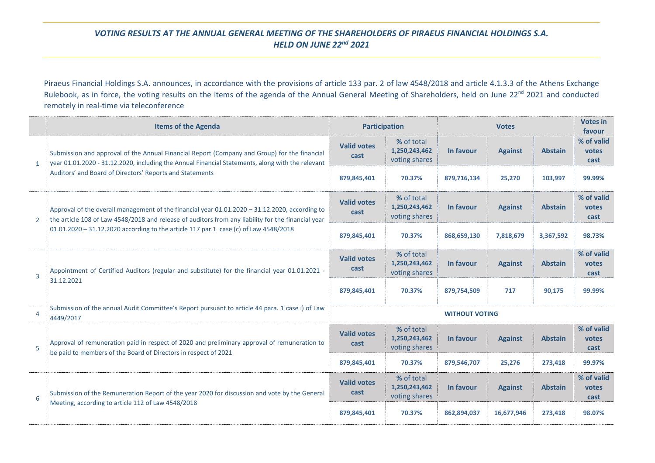## *VOTING RESULTS AT THE ANNUAL GENERAL MEETING OF THE SHAREHOLDERS OF PIRAEUS FINANCIAL HOLDINGS S.A. HELD ON JUNE 22nd 2021*

Piraeus Financial Holdings S.A. announces, in accordance with the provisions of article 133 par. 2 of law 4548/2018 and article 4.1.3.3 of the Athens Exchange Rulebook, as in force, the voting results on the items of the agenda of the Annual General Meeting of Shareholders, held on June 22<sup>nd</sup> 2021 and conducted remotely in real-time via teleconference

|                | <b>Items of the Agenda</b>                                                                                                                                                                                                                                                                   | <b>Participation</b>       |                                              | <b>Votes</b> |                |                | <b>Votes in</b><br>favour   |  |  |
|----------------|----------------------------------------------------------------------------------------------------------------------------------------------------------------------------------------------------------------------------------------------------------------------------------------------|----------------------------|----------------------------------------------|--------------|----------------|----------------|-----------------------------|--|--|
| 1              | Submission and approval of the Annual Financial Report (Company and Group) for the financial<br>year 01.01.2020 - 31.12.2020, including the Annual Financial Statements, along with the relevant<br>Auditors' and Board of Directors' Reports and Statements                                 | <b>Valid votes</b><br>cast | % of total<br>1,250,243,462<br>voting shares | In favour    | <b>Against</b> | <b>Abstain</b> | % of valid<br>votes<br>cast |  |  |
|                |                                                                                                                                                                                                                                                                                              | 879,845,401                | 70.37%                                       | 879,716,134  | 25,270         | 103,997        | 99.99%                      |  |  |
| $\overline{2}$ | Approval of the overall management of the financial year 01.01.2020 - 31.12.2020, according to<br>the article 108 of Law 4548/2018 and release of auditors from any liability for the financial year<br>01.01.2020 - 31.12.2020 according to the article 117 par.1 case (c) of Law 4548/2018 | <b>Valid votes</b><br>cast | % of total<br>1,250,243,462<br>voting shares | In favour    | <b>Against</b> | <b>Abstain</b> | % of valid<br>votes<br>cast |  |  |
|                |                                                                                                                                                                                                                                                                                              | 879,845,401                | 70.37%                                       | 868,659,130  | 7,818,679      | 3,367,592      | 98.73%                      |  |  |
| 3              | Appointment of Certified Auditors (regular and substitute) for the financial year 01.01.2021 -<br>31.12.2021                                                                                                                                                                                 | <b>Valid votes</b><br>cast | % of total<br>1,250,243,462<br>voting shares | In favour    | <b>Against</b> | <b>Abstain</b> | % of valid<br>votes<br>cast |  |  |
|                |                                                                                                                                                                                                                                                                                              | 879,845,401                | 70.37%                                       | 879,754,509  | 717            | 90,175         | 99.99%                      |  |  |
| 4              | Submission of the annual Audit Committee's Report pursuant to article 44 para. 1 case i) of Law<br>4449/2017                                                                                                                                                                                 | <b>WITHOUT VOTING</b>      |                                              |              |                |                |                             |  |  |
| 5              | Approval of remuneration paid in respect of 2020 and preliminary approval of remuneration to<br>be paid to members of the Board of Directors in respect of 2021                                                                                                                              | <b>Valid votes</b><br>cast | % of total<br>1,250,243,462<br>voting shares | In favour    | <b>Against</b> | <b>Abstain</b> | % of valid<br>votes<br>cast |  |  |
|                |                                                                                                                                                                                                                                                                                              | 879,845,401                | 70.37%                                       | 879,546,707  | 25,276         | 273,418        | 99.97%                      |  |  |
| 6              | Submission of the Remuneration Report of the year 2020 for discussion and vote by the General<br>Meeting, according to article 112 of Law 4548/2018                                                                                                                                          | <b>Valid votes</b><br>cast | % of total<br>1,250,243,462<br>voting shares | In favour    | <b>Against</b> | <b>Abstain</b> | % of valid<br>votes<br>cast |  |  |
|                |                                                                                                                                                                                                                                                                                              | 879,845,401                | 70.37%                                       | 862,894,037  | 16,677,946     | 273,418        | 98.07%                      |  |  |